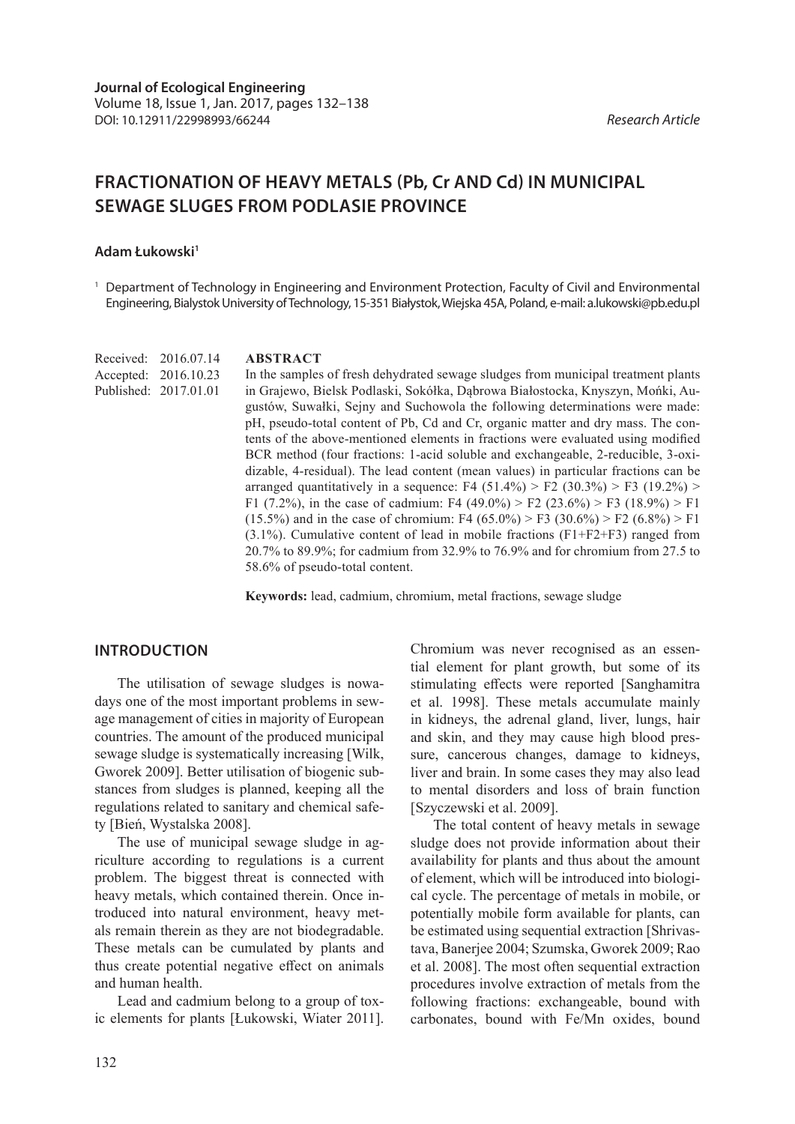# **FRACTIONATION OF HEAVY METALS (Pb, Cr AND Cd) IN MUNICIPAL SEWAGE SLUGES FROM PODLASIE PROVINCE**

#### **Adam Łukowski1**

Received: 2016.07.14 Accepted: 2016.10.23 Published: 2017.01.01

<sup>1</sup> Department of Technology in Engineering and Environment Protection, Faculty of Civil and Environmental Engineering, Bialystok University of Technology, 15-351 Białystok, Wiejska 45A, Poland, e-mail: a.lukowski@pb.edu.pl

#### **ABSTRACT**

In the samples of fresh dehydrated sewage sludges from municipal treatment plants in Grajewo, Bielsk Podlaski, Sokółka, Dąbrowa Białostocka, Knyszyn, Mońki, Augustów, Suwałki, Sejny and Suchowola the following determinations were made: pH, pseudo-total content of Pb, Cd and Cr, organic matter and dry mass. The contents of the above-mentioned elements in fractions were evaluated using modified BCR method (four fractions: 1-acid soluble and exchangeable, 2-reducible, 3-oxidizable, 4-residual). The lead content (mean values) in particular fractions can be arranged quantitatively in a sequence: F4  $(51.4\%)$  > F2  $(30.3\%)$  > F3  $(19.2\%)$  > F1 (7.2%), in the case of cadmium: F4 (49.0%) > F2 (23.6%) > F3 (18.9%) > F1 (15.5%) and in the case of chromium: F4 (65.0%) > F3 (30.6%) > F2 (6.8%) > F1  $(3.1\%)$ . Cumulative content of lead in mobile fractions  $(F1+F2+F3)$  ranged from 20.7% to 89.9%; for cadmium from 32.9% to 76.9% and for chromium from 27.5 to 58.6% of pseudo-total content.

**Keywords:** lead, cadmium, chromium, metal fractions, sewage sludge

## **INTRODUCTION**

The utilisation of sewage sludges is nowadays one of the most important problems in sewage management of cities in majority of European countries. The amount of the produced municipal sewage sludge is systematically increasing [Wilk, Gworek 2009]. Better utilisation of biogenic substances from sludges is planned, keeping all the regulations related to sanitary and chemical safety [Bień, Wystalska 2008].

The use of municipal sewage sludge in agriculture according to regulations is a current problem. The biggest threat is connected with heavy metals, which contained therein. Once introduced into natural environment, heavy metals remain therein as they are not biodegradable. These metals can be cumulated by plants and thus create potential negative effect on animals and human health.

Lead and cadmium belong to a group of toxic elements for plants [Łukowski, Wiater 2011]. Chromium was never recognised as an essential element for plant growth, but some of its stimulating effects were reported [Sanghamitra et al. 1998]. These metals accumulate mainly in kidneys, the adrenal gland, liver, lungs, hair and skin, and they may cause high blood pressure, cancerous changes, damage to kidneys, liver and brain. In some cases they may also lead to mental disorders and loss of brain function [Szyczewski et al. 2009].

The total content of heavy metals in sewage sludge does not provide information about their availability for plants and thus about the amount of element, which will be introduced into biological cycle. The percentage of metals in mobile, or potentially mobile form available for plants, can be estimated using sequential extraction [Shrivastava, Banerjee 2004; Szumska, Gworek 2009; Rao et al. 2008]. The most often sequential extraction procedures involve extraction of metals from the following fractions: exchangeable, bound with carbonates, bound with Fe/Mn oxides, bound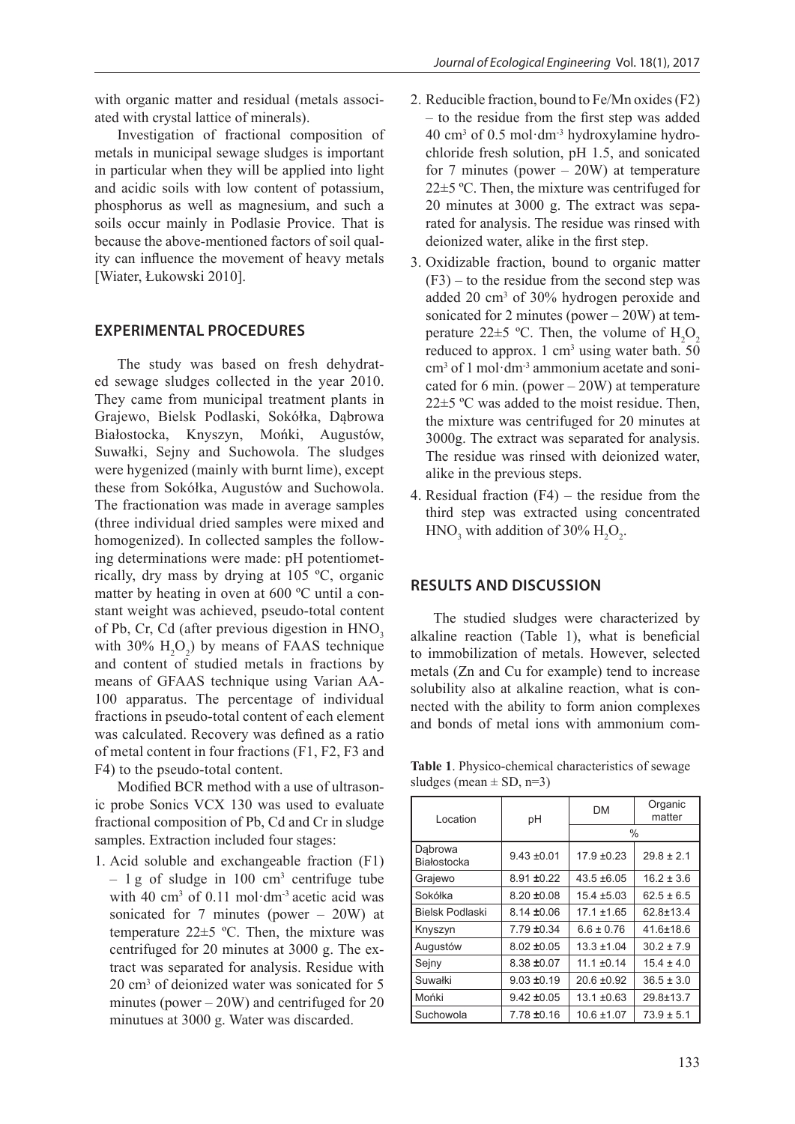with organic matter and residual (metals associated with crystal lattice of minerals).

Investigation of fractional composition of metals in municipal sewage sludges is important in particular when they will be applied into light and acidic soils with low content of potassium, phosphorus as well as magnesium, and such a soils occur mainly in Podlasie Provice. That is because the above-mentioned factors of soil quality can influence the movement of heavy metals [Wiater, Łukowski 2010].

## **EXPERIMENTAL PROCEDURES**

The study was based on fresh dehydrated sewage sludges collected in the year 2010. They came from municipal treatment plants in Grajewo, Bielsk Podlaski, Sokółka, Dąbrowa Białostocka, Knyszyn, Mońki, Augustów, Suwałki, Sejny and Suchowola. The sludges were hygenized (mainly with burnt lime), except these from Sokółka, Augustów and Suchowola. The fractionation was made in average samples (three individual dried samples were mixed and homogenized). In collected samples the following determinations were made: pH potentiometrically, dry mass by drying at 105 ºC, organic matter by heating in oven at 600 ºC until a constant weight was achieved, pseudo-total content of Pb, Cr, Cd (after previous digestion in HNO<sub>3</sub> with 30%  $H_2O_2$ ) by means of FAAS technique and content of studied metals in fractions by means of GFAAS technique using Varian AA-100 apparatus. The percentage of individual fractions in pseudo-total content of each element was calculated. Recovery was defined as a ratio of metal content in four fractions (F1, F2, F3 and F4) to the pseudo-total content.

Modified BCR method with a use of ultrasonic probe Sonics VCX 130 was used to evaluate fractional composition of Pb, Cd and Cr in sludge samples. Extraction included four stages:

1. Acid soluble and exchangeable fraction (F1)  $-1$  g of sludge in 100 cm<sup>3</sup> centrifuge tube with 40 cm<sup>3</sup> of 0.11 mol·dm<sup>-3</sup> acetic acid was sonicated for 7 minutes (power – 20W) at temperature 22±5 ºC. Then, the mixture was centrifuged for 20 minutes at 3000 g. The extract was separated for analysis. Residue with 20 cm3 of deionized water was sonicated for 5 minutes (power – 20W) and centrifuged for 20 minutues at 3000 g. Water was discarded.

- 2. Reducible fraction, bound to Fe/Mn oxides (F2) – to the residue from the first step was added 40 cm3 of 0.5 mol·dm-3 hydroxylamine hydrochloride fresh solution, pH 1.5, and sonicated for 7 minutes (power  $-20W$ ) at temperature 22±5 ºC. Then, the mixture was centrifuged for 20 minutes at 3000 g. The extract was separated for analysis. The residue was rinsed with deionized water, alike in the first step.
- 3. Oxidizable fraction, bound to organic matter  $(F3)$  – to the residue from the second step was added 20 cm3 of 30% hydrogen peroxide and sonicated for 2 minutes (power – 20W) at temperature 22 $\pm$ 5 °C. Then, the volume of  $H_2O_2$ reduced to approx.  $1 \text{ cm}^3$  using water bath. 50 cm3 of 1 mol·dm-3 ammonium acetate and sonicated for 6 min. (power  $-20W$ ) at temperature  $22\pm5$  °C was added to the moist residue. Then, the mixture was centrifuged for 20 minutes at 3000g. The extract was separated for analysis. The residue was rinsed with deionized water, alike in the previous steps.
- 4. Residual fraction  $(F4)$  the residue from the third step was extracted using concentrated  $HNO<sub>3</sub>$  with addition of 30%  $H<sub>2</sub>O<sub>2</sub>$ .

## **RESULTS AND DISCUSSION**

The studied sludges were characterized by alkaline reaction (Table 1), what is beneficial to immobilization of metals. However, selected metals (Zn and Cu for example) tend to increase solubility also at alkaline reaction, what is connected with the ability to form anion complexes and bonds of metal ions with ammonium com-

**Table 1**. Physico-chemical characteristics of sewage sludges (mean  $\pm$  SD, n=3)

| Location               | рH              | <b>DM</b>       | Organic<br>matter |  |  |  |
|------------------------|-----------------|-----------------|-------------------|--|--|--|
|                        |                 | $\frac{0}{0}$   |                   |  |  |  |
| Dabrowa<br>Białostocka | $9.43 \pm 0.01$ | $17.9 \pm 0.23$ | $29.8 \pm 2.1$    |  |  |  |
| Grajewo                | $8.91 \pm 0.22$ | $43.5 \pm 6.05$ | $16.2 \pm 3.6$    |  |  |  |
| Sokółka                | $8.20 \pm 0.08$ | $15.4 \pm 5.03$ | $62.5 \pm 6.5$    |  |  |  |
| <b>Bielsk Podlaski</b> | $8.14 \pm 0.06$ | $17.1 \pm 1.65$ | $62.8 \pm 13.4$   |  |  |  |
| Knyszyn                | $7.79 \pm 0.34$ | $6.6 \pm 0.76$  | $41.6 \pm 18.6$   |  |  |  |
| Augustów               | $8.02 \pm 0.05$ | $13.3 \pm 1.04$ | $30.2 \pm 7.9$    |  |  |  |
| Sejny                  | $8.38 \pm 0.07$ | $11.1 \pm 0.14$ | $15.4 \pm 4.0$    |  |  |  |
| Suwałki                | $9.03 \pm 0.19$ | $20.6 \pm 0.92$ | $36.5 \pm 3.0$    |  |  |  |
| Mońki                  | $9.42 \pm 0.05$ | $13.1 \pm 0.63$ | $29.8 + 13.7$     |  |  |  |
| Suchowola              | 7.78 ±0.16      | $10.6 \pm 1.07$ | $73.9 \pm 5.1$    |  |  |  |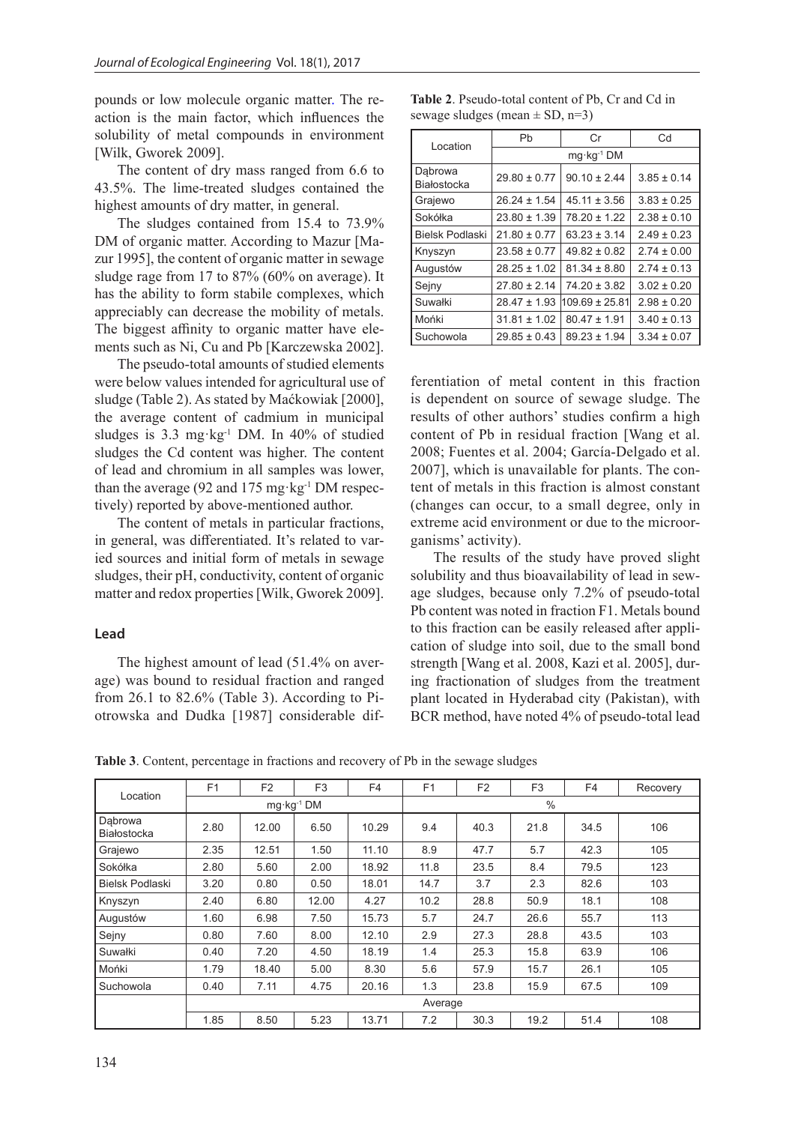pounds or low molecule organic matter. The reaction is the main factor, which influences the solubility of metal compounds in environment [Wilk, Gworek 2009].

The content of dry mass ranged from 6.6 to 43.5%. The lime-treated sludges contained the highest amounts of dry matter, in general.

The sludges contained from 15.4 to 73.9% DM of organic matter. According to Mazur [Mazur 1995], the content of organic matter in sewage sludge rage from 17 to 87% (60% on average). It has the ability to form stabile complexes, which appreciably can decrease the mobility of metals. The biggest affinity to organic matter have elements such as Ni, Cu and Pb [Karczewska 2002].

The pseudo-total amounts of studied elements were below values intended for agricultural use of sludge (Table 2). As stated by Maćkowiak [2000], the average content of cadmium in municipal sludges is 3.3 mg·kg-1 DM. In 40% of studied sludges the Cd content was higher. The content of lead and chromium in all samples was lower, than the average (92 and  $175 \text{ mg} \cdot \text{kg}^{-1}$  DM respectively) reported by above-mentioned author.

The content of metals in particular fractions, in general, was differentiated. It's related to varied sources and initial form of metals in sewage sludges, their pH, conductivity, content of organic matter and redox properties [Wilk, Gworek 2009].

#### **Lead**

The highest amount of lead (51.4% on average) was bound to residual fraction and ranged from 26.1 to 82.6% (Table 3). According to Piotrowska and Dudka [1987] considerable dif-

Location Pb | Cr | Cd mg·kg-1 DM **D**ąbrowa Białostocka 29.80 ± 0.77 90.10 ± 2.44 3.85 ± 0.14 Grajewo  $26.24 \pm 1.54 \pm 3.56 \pm 3.83 \pm 0.25$ Sokółka  $\begin{array}{|c|c|c|c|c|c|}\n\hline\n & 23.80 & \pm 1.39 & 78.20 & \pm 1.22 & 2.38 & \pm 0.10\n\end{array}$ Bielsk Podlaski 21.80 ± 0.77 63.23 ± 3.14 2.49 ± 0.23 Knyszyn  $23.58 \pm 0.77 | 49.82 \pm 0.82 | 2.74 \pm 0.00$ Augustów 28.25 ± 1.02 81.34 ± 8.80 2.74 ± 0.13 Sejny 27.80 ± 2.14 74.20 ± 3.82 3.02 ± 0.20

Suwałki 28.47 ± 1.93  $|109.69 \pm 25.81|$  2.98  $\pm$  0.20 Mońki  $31.81 \pm 1.02 \mid 80.47 \pm 1.91 \mid 3.40 \pm 0.13$ Suchowola 29.85 ± 0.43 89.23 ± 1.94 3.34 ± 0.07

| <b>Table 2.</b> Pseudo-total content of Pb, Cr and Cd in |
|----------------------------------------------------------|
| sewage sludges (mean $\pm$ SD, n=3)                      |

ferentiation of metal content in this fraction is dependent on source of sewage sludge. The results of other authors' studies confirm a high content of Pb in residual fraction [Wang et al. 2008; Fuentes et al. 2004; García-Delgado et al. 2007], which is unavailable for plants. The content of metals in this fraction is almost constant (changes can occur, to a small degree, only in extreme acid environment or due to the microorganisms' activity).

The results of the study have proved slight solubility and thus bioavailability of lead in sewage sludges, because only 7.2% of pseudo-total Pb content was noted in fraction F1. Metals bound to this fraction can be easily released after application of sludge into soil, due to the small bond strength [Wang et al. 2008, Kazi et al. 2005], during fractionation of sludges from the treatment plant located in Hyderabad city (Pakistan), with BCR method, have noted 4% of pseudo-total lead

**Table 3**. Content, percentage in fractions and recovery of Pb in the sewage sludges

| Location               | F <sub>1</sub> | F <sub>2</sub> | F <sub>3</sub>        | F <sub>4</sub> | F <sub>1</sub> | F <sub>2</sub> | F <sub>3</sub> | F <sub>4</sub> | Recovery |
|------------------------|----------------|----------------|-----------------------|----------------|----------------|----------------|----------------|----------------|----------|
|                        |                |                | $mg \cdot kg^{-1} DM$ |                | $\frac{0}{0}$  |                |                |                |          |
| Dabrowa<br>Białostocka | 2.80           | 12.00          | 6.50                  | 10.29          | 9.4            | 40.3           | 21.8           | 34.5           | 106      |
| Grajewo                | 2.35           | 12.51          | 1.50                  | 11.10          | 8.9            | 47.7           | 5.7            | 42.3           | 105      |
| Sokółka                | 2.80           | 5.60           | 2.00                  | 18.92          | 11.8           | 23.5           | 8.4            | 79.5           | 123      |
| <b>Bielsk Podlaski</b> | 3.20           | 0.80           | 0.50                  | 18.01          | 14.7           | 3.7            | 2.3            | 82.6           | 103      |
| Knyszyn                | 2.40           | 6.80           | 12.00                 | 4.27           | 10.2           | 28.8           | 50.9           | 18.1           | 108      |
| Augustów               | 1.60           | 6.98           | 7.50                  | 15.73          | 5.7            | 24.7           | 26.6           | 55.7           | 113      |
| Sejny                  | 0.80           | 7.60           | 8.00                  | 12.10          | 2.9            | 27.3           | 28.8           | 43.5           | 103      |
| Suwałki                | 0.40           | 7.20           | 4.50                  | 18.19          | 1.4            | 25.3           | 15.8           | 63.9           | 106      |
| Mońki                  | 1.79           | 18.40          | 5.00                  | 8.30           | 5.6            | 57.9           | 15.7           | 26.1           | 105      |
| Suchowola              | 0.40           | 7.11           | 4.75                  | 20.16          | 1.3            | 23.8           | 15.9           | 67.5           | 109      |
|                        |                | Average        |                       |                |                |                |                |                |          |
|                        | 1.85           | 8.50           | 5.23                  | 13.71          | 7.2            | 30.3           | 19.2           | 51.4           | 108      |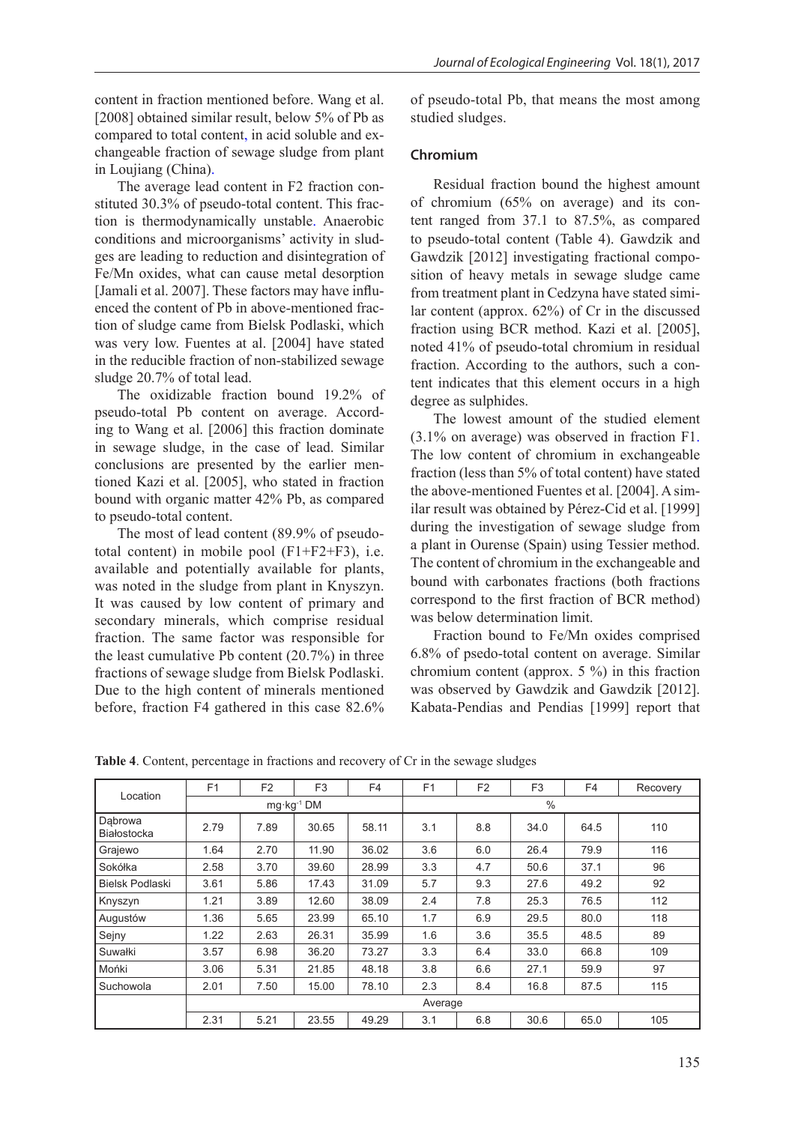content in fraction mentioned before. Wang et al. [2008] obtained similar result, below 5% of Pb as compared to total content, in acid soluble and exchangeable fraction of sewage sludge from plant in Loujiang (China).

The average lead content in F2 fraction constituted 30.3% of pseudo-total content. This fraction is thermodynamically unstable. Anaerobic conditions and microorganisms' activity in sludges are leading to reduction and disintegration of Fe/Mn oxides, what can cause metal desorption [Jamali et al. 2007]. These factors may have influenced the content of Pb in above-mentioned fraction of sludge came from Bielsk Podlaski, which was very low. Fuentes at al. [2004] have stated in the reducible fraction of non-stabilized sewage sludge 20.7% of total lead.

The oxidizable fraction bound 19.2% of pseudo-total Pb content on average. According to Wang et al. [2006] this fraction dominate in sewage sludge, in the case of lead. Similar conclusions are presented by the earlier mentioned Kazi et al. [2005], who stated in fraction bound with organic matter 42% Pb, as compared to pseudo-total content.

The most of lead content (89.9% of pseudototal content) in mobile pool (F1+F2+F3), i.e. available and potentially available for plants, was noted in the sludge from plant in Knyszyn. It was caused by low content of primary and secondary minerals, which comprise residual fraction. The same factor was responsible for the least cumulative Pb content (20.7%) in three fractions of sewage sludge from Bielsk Podlaski. Due to the high content of minerals mentioned before, fraction F4 gathered in this case 82.6%

of pseudo-total Pb, that means the most among studied sludges.

### **Chromium**

Residual fraction bound the highest amount of chromium (65% on average) and its content ranged from 37.1 to 87.5%, as compared to pseudo-total content (Table 4). Gawdzik and Gawdzik [2012] investigating fractional composition of heavy metals in sewage sludge came from treatment plant in Cedzyna have stated similar content (approx. 62%) of Cr in the discussed fraction using BCR method. Kazi et al. [2005], noted 41% of pseudo-total chromium in residual fraction. According to the authors, such a content indicates that this element occurs in a high degree as sulphides.

The lowest amount of the studied element (3.1% on average) was observed in fraction F1. The low content of chromium in exchangeable fraction (less than 5% of total content) have stated the above-mentioned Fuentes et al. [2004]. A similar result was obtained by Pérez-Cid et al. [1999] during the investigation of sewage sludge from a plant in Ourense (Spain) using Tessier method. The content of chromium in the exchangeable and bound with carbonates fractions (both fractions correspond to the first fraction of BCR method) was below determination limit.

Fraction bound to Fe/Mn oxides comprised 6.8% of psedo-total content on average. Similar chromium content (approx. 5 %) in this fraction was observed by Gawdzik and Gawdzik [2012]. Kabata-Pendias and Pendias [1999] report that

| Location               | F1      | F <sub>2</sub> | F <sub>3</sub>        | F <sub>4</sub> | F <sub>1</sub> | F <sub>2</sub> | F <sub>3</sub> | F4   | Recovery |
|------------------------|---------|----------------|-----------------------|----------------|----------------|----------------|----------------|------|----------|
|                        |         |                | $mg \cdot kg^{-1} DM$ |                | $\%$           |                |                |      |          |
| Dabrowa<br>Białostocka | 2.79    | 7.89           | 30.65                 | 58.11          | 3.1            | 8.8            | 34.0           | 64.5 | 110      |
| Grajewo                | 1.64    | 2.70           | 11.90                 | 36.02          | 3.6            | 6.0            | 26.4           | 79.9 | 116      |
| Sokółka                | 2.58    | 3.70           | 39.60                 | 28.99          | 3.3            | 4.7            | 50.6           | 37.1 | 96       |
| <b>Bielsk Podlaski</b> | 3.61    | 5.86           | 17.43                 | 31.09          | 5.7            | 9.3            | 27.6           | 49.2 | 92       |
| Knyszyn                | 1.21    | 3.89           | 12.60                 | 38.09          | 2.4            | 7.8            | 25.3           | 76.5 | 112      |
| Augustów               | 1.36    | 5.65           | 23.99                 | 65.10          | 1.7            | 6.9            | 29.5           | 80.0 | 118      |
| Sejny                  | 1.22    | 2.63           | 26.31                 | 35.99          | 1.6            | 3.6            | 35.5           | 48.5 | 89       |
| Suwałki                | 3.57    | 6.98           | 36.20                 | 73.27          | 3.3            | 6.4            | 33.0           | 66.8 | 109      |
| Mońki                  | 3.06    | 5.31           | 21.85                 | 48.18          | 3.8            | 6.6            | 27.1           | 59.9 | 97       |
| Suchowola              | 2.01    | 7.50           | 15.00                 | 78.10          | 2.3            | 8.4            | 16.8           | 87.5 | 115      |
|                        | Average |                |                       |                |                |                |                |      |          |
|                        | 2.31    | 5.21           | 23.55                 | 49.29          | 3.1            | 6.8            | 30.6           | 65.0 | 105      |

**Table 4**. Content, percentage in fractions and recovery of Cr in the sewage sludges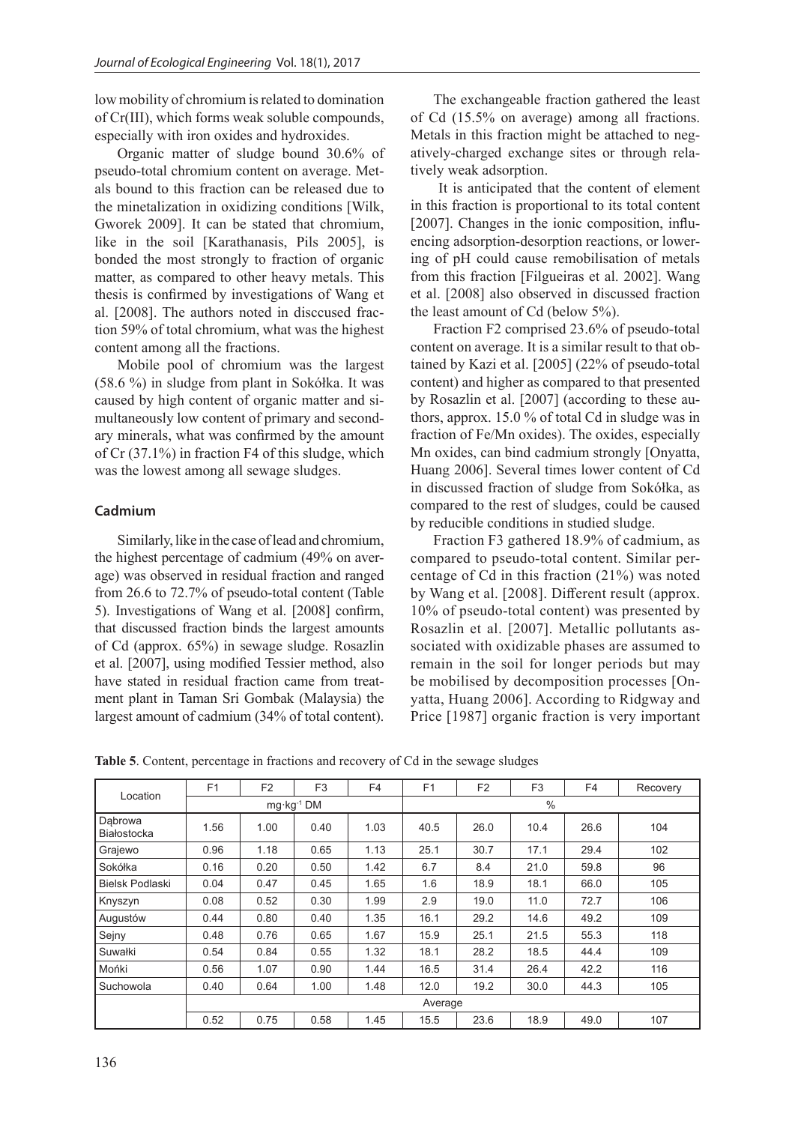low mobility of chromium is related to domination of Cr(III), which forms weak soluble compounds, especially with iron oxides and hydroxides.

Organic matter of sludge bound 30.6% of pseudo-total chromium content on average. Metals bound to this fraction can be released due to the minetalization in oxidizing conditions [Wilk, Gworek 2009]. It can be stated that chromium, like in the soil [Karathanasis, Pils 2005], is bonded the most strongly to fraction of organic matter, as compared to other heavy metals. This thesis is confirmed by investigations of Wang et al. [2008]. The authors noted in disccused fraction 59% of total chromium, what was the highest content among all the fractions.

Mobile pool of chromium was the largest (58.6 %) in sludge from plant in Sokółka. It was caused by high content of organic matter and simultaneously low content of primary and secondary minerals, what was confirmed by the amount of Cr (37.1%) in fraction F4 of this sludge, which was the lowest among all sewage sludges.

## **Cadmium**

Similarly, like in the case of lead and chromium, the highest percentage of cadmium (49% on average) was observed in residual fraction and ranged from 26.6 to 72.7% of pseudo-total content (Table 5). Investigations of Wang et al. [2008] confirm, that discussed fraction binds the largest amounts of Cd (approx. 65%) in sewage sludge. Rosazlin et al. [2007], using modified Tessier method, also have stated in residual fraction came from treatment plant in Taman Sri Gombak (Malaysia) the largest amount of cadmium (34% of total content).

The exchangeable fraction gathered the least of Cd (15.5% on average) among all fractions. Metals in this fraction might be attached to negatively-charged exchange sites or through relatively weak adsorption.

 It is anticipated that the content of element in this fraction is proportional to its total content [2007]. Changes in the ionic composition, influencing adsorption-desorption reactions, or lowering of pH could cause remobilisation of metals from this fraction [Filgueiras et al. 2002]. Wang et al. [2008] also observed in discussed fraction the least amount of Cd (below 5%).

Fraction F2 comprised 23.6% of pseudo-total content on average. It is a similar result to that obtained by Kazi et al. [2005] (22% of pseudo-total content) and higher as compared to that presented by Rosazlin et al. [2007] (according to these authors, approx. 15.0 % of total Cd in sludge was in fraction of Fe/Mn oxides). The oxides, especially Mn oxides, can bind cadmium strongly [Onyatta, Huang 2006]. Several times lower content of Cd in discussed fraction of sludge from Sokółka, as compared to the rest of sludges, could be caused by reducible conditions in studied sludge.

Fraction F3 gathered 18.9% of cadmium, as compared to pseudo-total content. Similar percentage of Cd in this fraction (21%) was noted by Wang et al. [2008]. Different result (approx. 10% of pseudo-total content) was presented by Rosazlin et al. [2007]. Metallic pollutants associated with oxidizable phases are assumed to remain in the soil for longer periods but may be mobilised by decomposition processes [Onyatta, Huang 2006]. According to Ridgway and Price [1987] organic fraction is very important

**Table 5**. Content, percentage in fractions and recovery of Cd in the sewage sludges

|                        | F <sub>1</sub>        | F <sub>2</sub> | F <sub>3</sub> | F4   | F <sub>1</sub> | F <sub>2</sub> | F <sub>3</sub> | F <sub>4</sub> | Recovery |  |
|------------------------|-----------------------|----------------|----------------|------|----------------|----------------|----------------|----------------|----------|--|
| Location               |                       |                |                |      |                |                |                |                |          |  |
|                        | $mq \cdot kq^{-1}$ DM |                |                |      | $\frac{0}{0}$  |                |                |                |          |  |
| Dabrowa<br>Białostocka | 1.56                  | 1.00           | 0.40           | 1.03 | 40.5           | 26.0           | 10.4           | 26.6           | 104      |  |
| Grajewo                | 0.96                  | 1.18           | 0.65           | 1.13 | 25.1           | 30.7           | 17.1           | 29.4           | 102      |  |
| Sokółka                | 0.16                  | 0.20           | 0.50           | 1.42 | 6.7            | 8.4            | 21.0           | 59.8           | 96       |  |
| <b>Bielsk Podlaski</b> | 0.04                  | 0.47           | 0.45           | 1.65 | 1.6            | 18.9           | 18.1           | 66.0           | 105      |  |
| Knyszyn                | 0.08                  | 0.52           | 0.30           | 1.99 | 2.9            | 19.0           | 11.0           | 72.7           | 106      |  |
| Augustów               | 0.44                  | 0.80           | 0.40           | 1.35 | 16.1           | 29.2           | 14.6           | 49.2           | 109      |  |
| Sejny                  | 0.48                  | 0.76           | 0.65           | 1.67 | 15.9           | 25.1           | 21.5           | 55.3           | 118      |  |
| Suwałki                | 0.54                  | 0.84           | 0.55           | 1.32 | 18.1           | 28.2           | 18.5           | 44.4           | 109      |  |
| Mońki                  | 0.56                  | 1.07           | 0.90           | 1.44 | 16.5           | 31.4           | 26.4           | 42.2           | 116      |  |
| Suchowola              | 0.40                  | 0.64           | 1.00           | 1.48 | 12.0           | 19.2           | 30.0           | 44.3           | 105      |  |
|                        |                       | Average        |                |      |                |                |                |                |          |  |
|                        | 0.52                  | 0.75           | 0.58           | 1.45 | 15.5           | 23.6           | 18.9           | 49.0           | 107      |  |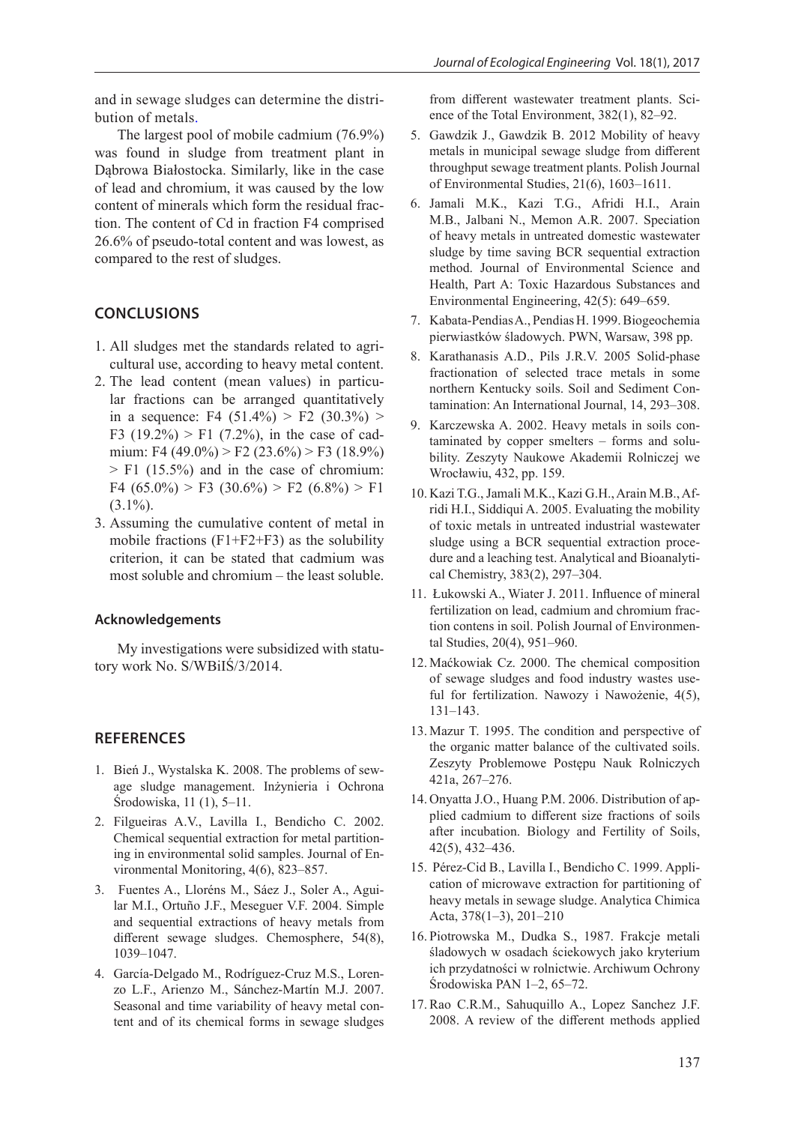and in sewage sludges can determine the distribution of metals.

The largest pool of mobile cadmium (76.9%) was found in sludge from treatment plant in Dąbrowa Białostocka. Similarly, like in the case of lead and chromium, it was caused by the low content of minerals which form the residual fraction. The content of Cd in fraction F4 comprised 26.6% of pseudo-total content and was lowest, as compared to the rest of sludges.

## **CONCLUSIONS**

- 1. All sludges met the standards related to agricultural use, according to heavy metal content.
- 2. The lead content (mean values) in particular fractions can be arranged quantitatively in a sequence: F4  $(51.4\%)$  > F2  $(30.3\%)$  > F3 (19.2%) > F1 (7.2%), in the case of cadmium: F4 (49.0%) > F2 (23.6%) > F3 (18.9%)  $>$  F1 (15.5%) and in the case of chromium: F4  $(65.0\%)$  > F3  $(30.6\%)$  > F2  $(6.8\%)$  > F1  $(3.1\%)$ .
- 3. Assuming the cumulative content of metal in mobile fractions  $(F1 + F2 + F3)$  as the solubility criterion, it can be stated that cadmium was most soluble and chromium – the least soluble.

#### **Acknowledgements**

My investigations were subsidized with statutory work No. S/WBiIŚ/3/2014.

## **REFERENCES**

- 1. Bień J., Wystalska K. 2008. The problems of sewage sludge management. Inżynieria i Ochrona Środowiska, 11 (1), 5–11.
- 2. Filgueiras A.V., Lavilla I., Bendicho C. 2002. Chemical sequential extraction for metal partitioning in environmental solid samples. Journal of Environmental Monitoring, 4(6), 823–857.
- 3. Fuentes A., Lloréns M., Sáez J., Soler A., Aguilar M.I., Ortuño J.F., Meseguer V.F. 2004. Simple and sequential extractions of heavy metals from different sewage sludges. Chemosphere, 54(8), 1039–1047.
- 4. García-Delgado M., Rodríguez-Cruz M.S., Lorenzo L.F., Arienzo M., Sánchez-Martín M.J. 2007. Seasonal and time variability of heavy metal content and of its chemical forms in sewage sludges

from different wastewater treatment plants. Science of the Total Environment, 382(1), 82–92.

- 5. Gawdzik J., Gawdzik B. 2012 Mobility of heavy metals in municipal sewage sludge from different throughput sewage treatment plants. Polish Journal of Environmental Studies, 21(6), 1603–1611.
- 6. Jamali M.K., Kazi T.G., Afridi H.I., Arain M.B., Jalbani N., Memon A.R. 2007. Speciation of heavy metals in untreated domestic wastewater sludge by time saving BCR sequential extraction method. Journal of Environmental Science and Health, Part A: Toxic Hazardous Substances and Environmental Engineering, 42(5): 649–659.
- 7. Kabata-Pendias A., Pendias H. 1999. Biogeochemia pierwiastków śladowych. PWN, Warsaw, 398 pp.
- 8. Karathanasis A.D., Pils J.R.V. 2005 Solid-phase fractionation of selected trace metals in some northern Kentucky soils. Soil and Sediment Contamination: An International Journal, 14, 293–308.
- 9. Karczewska A. 2002. Heavy metals in soils contaminated by copper smelters – forms and solubility. Zeszyty Naukowe Akademii Rolniczej we Wrocławiu, 432, pp. 159.
- 10. Kazi T.G., Jamali M.K., Kazi G.H.,Arain M.B.,Afridi H.I., Siddiqui A. 2005. Evaluating the mobility of toxic metals in untreated industrial wastewater sludge using a BCR sequential extraction procedure and a leaching test. Analytical and Bioanalytical Chemistry, 383(2), 297–304.
- 11. Łukowski A., Wiater J. 2011. Influence of mineral fertilization on lead, cadmium and chromium fraction contens in soil. Polish Journal of Environmental Studies, 20(4), 951–960.
- 12. Maćkowiak Cz. 2000. The chemical composition of sewage sludges and food industry wastes useful for fertilization. Nawozy i Nawożenie, 4(5), 131–143.
- 13. Mazur T. 1995. The condition and perspective of the organic matter balance of the cultivated soils. Zeszyty Problemowe Postępu Nauk Rolniczych 421a, 267–276.
- 14. Onyatta J.O., Huang P.M. 2006. Distribution of applied cadmium to different size fractions of soils after incubation. Biology and Fertility of Soils, 42(5), 432–436.
- 15. Pérez-Cid B., Lavilla I., Bendicho C. 1999. Application of microwave extraction for partitioning of heavy metals in sewage sludge. Analytica Chimica Acta, 378(1–3), 201–210
- 16. Piotrowska M., Dudka S., 1987. Frakcje metali śladowych w osadach ściekowych jako kryterium ich przydatności w rolnictwie. Archiwum Ochrony Środowiska PAN 1–2, 65–72.
- 17. Rao C.R.M., Sahuquillo A., Lopez Sanchez J.F. 2008. A review of the different methods applied